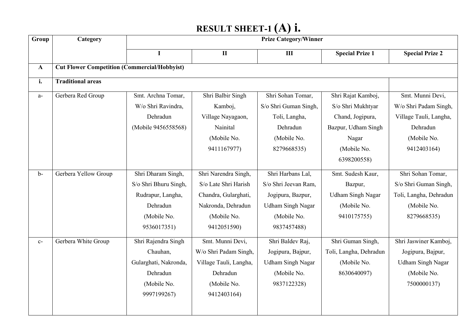# **RESULT SHEET-1 (A) i.**

| Group        | Category                                            |                       |                        | <b>Prize Category/Winner</b> |                          |                          |
|--------------|-----------------------------------------------------|-----------------------|------------------------|------------------------------|--------------------------|--------------------------|
|              |                                                     |                       | $\mathbf{I}$           | $\mathbf{III}$               | <b>Special Prize 1</b>   | <b>Special Prize 2</b>   |
| $\mathbf{A}$ | <b>Cut Flower Competition (Commercial/Hobbyist)</b> |                       |                        |                              |                          |                          |
| i.           | <b>Traditional areas</b>                            |                       |                        |                              |                          |                          |
| $a-$         | Gerbera Red Group                                   | Smt. Archna Tomar,    | Shri Balbir Singh      | Shri Sohan Tomar,            | Shri Rajat Kamboj,       | Smt. Munni Devi,         |
|              |                                                     | W/o Shri Ravindra,    | Kamboj,                | S/o Shri Guman Singh,        | S/o Shri Mukhtyar        | W/o Shri Padam Singh,    |
|              |                                                     | Dehradun              | Village Nayagaon,      | Toli, Langha,                | Chand, Jogipura,         | Village Tauli, Langha,   |
|              |                                                     | (Mobile 9456558568)   | Nainital               | Dehradun                     | Bazpur, Udham Singh      | Dehradun                 |
|              |                                                     |                       | (Mobile No.            | (Mobile No.                  | Nagar                    | (Mobile No.              |
|              |                                                     |                       | 9411167977)            | 8279668535)                  | (Mobile No.              | 9412403164)              |
|              |                                                     |                       |                        |                              | 6398200558)              |                          |
| $b-$         | Gerbera Yellow Group                                | Shri Dharam Singh,    | Shri Narendra Singh,   | Shri Harbans Lal,            | Smt. Sudesh Kaur,        | Shri Sohan Tomar,        |
|              |                                                     | S/o Shri Bhuru Singh, | S/o Late Shri Harish   | S/o Shri Jeevan Ram,         | Bazpur,                  | S/o Shri Guman Singh,    |
|              |                                                     | Rudrapur, Langha,     | Chandra, Gularghati,   | Jogipura, Bazpur,            | <b>Udham Singh Nagar</b> | Toli, Langha, Dehradun   |
|              |                                                     | Dehradun              | Nakronda, Dehradun     | <b>Udham Singh Nagar</b>     | (Mobile No.              | (Mobile No.              |
|              |                                                     | (Mobile No.           | (Mobile No.            | (Mobile No.                  | 9410175755)              | 8279668535)              |
|              |                                                     | 9536017351)           | 9412051590)            | 9837457488)                  |                          |                          |
| $C-$         | Gerbera White Group                                 | Shri Rajendra Singh   | Smt. Munni Devi,       | Shri Baldev Raj,             | Shri Guman Singh,        | Shri Jaswiner Kamboj,    |
|              |                                                     | Chauhan,              | W/o Shri Padam Singh,  | Jogipura, Bajpur,            | Toli, Langha, Dehradun   | Jogipura, Bajpur,        |
|              |                                                     | Gularghati, Nakronda, | Village Tauli, Langha, | <b>Udham Singh Nagar</b>     | (Mobile No.              | <b>Udham Singh Nagar</b> |
|              |                                                     | Dehradun              | Dehradun               | (Mobile No.                  | 8630640097)              | (Mobile No.              |
|              |                                                     | (Mobile No.           | (Mobile No.            | 9837122328)                  |                          | 7500000137)              |
|              |                                                     | 9997199267)           | 9412403164)            |                              |                          |                          |
|              |                                                     |                       |                        |                              |                          |                          |
|              |                                                     |                       |                        |                              |                          |                          |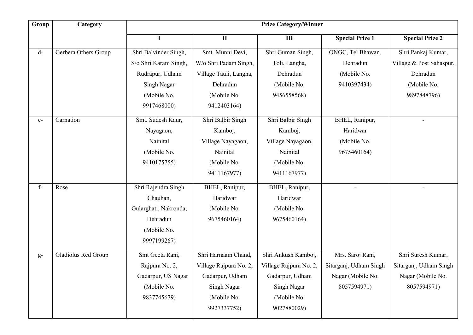| Group | Category             |                       |                        | <b>Prize Category/Winner</b> |                        |                          |
|-------|----------------------|-----------------------|------------------------|------------------------------|------------------------|--------------------------|
|       |                      | $\mathbf I$           | $\mathbf{I}$           | $\mathbf{III}$               | <b>Special Prize 1</b> | <b>Special Prize 2</b>   |
| d-    | Gerbera Others Group | Shri Balvinder Singh, | Smt. Munni Devi,       | Shri Guman Singh,            | ONGC, Tel Bhawan,      | Shri Pankaj Kumar,       |
|       |                      | S/o Shri Karam Singh, | W/o Shri Padam Singh,  | Toli, Langha,                | Dehradun               | Village & Post Sahaspur, |
|       |                      | Rudrapur, Udham       | Village Tauli, Langha, | Dehradun                     | (Mobile No.            | Dehradun                 |
|       |                      | Singh Nagar           | Dehradun               | (Mobile No.                  | 9410397434)            | (Mobile No.              |
|       |                      | (Mobile No.           | (Mobile No.            | 9456558568)                  |                        | 9897848796)              |
|       |                      | 9917468000)           | 9412403164)            |                              |                        |                          |
| $e-$  | Carnation            | Smt. Sudesh Kaur,     | Shri Balbir Singh      | Shri Balbir Singh            | BHEL, Ranipur,         |                          |
|       |                      | Nayagaon,             | Kamboj,                | Kamboj,                      | Haridwar               |                          |
|       |                      | Nainital              | Village Nayagaon,      | Village Nayagaon,            | (Mobile No.            |                          |
|       |                      | (Mobile No.           | Nainital               | Nainital                     | 9675460164)            |                          |
|       |                      | 9410175755)           | (Mobile No.            | (Mobile No.                  |                        |                          |
|       |                      |                       | 9411167977)            | 9411167977)                  |                        |                          |
| $f-$  | Rose                 | Shri Rajendra Singh   | BHEL, Ranipur,         | BHEL, Ranipur,               |                        |                          |
|       |                      | Chauhan,              | Haridwar               | Haridwar                     |                        |                          |
|       |                      | Gularghati, Nakronda, | (Mobile No.            | (Mobile No.                  |                        |                          |
|       |                      | Dehradun              | 9675460164)            | 9675460164)                  |                        |                          |
|       |                      | (Mobile No.           |                        |                              |                        |                          |
|       |                      | 9997199267)           |                        |                              |                        |                          |
| $g-$  | Gladiolus Red Group  | Smt Geeta Rani,       | Shri Harnaam Chand,    | Shri Ankush Kamboj,          | Mrs. Saroj Rani,       | Shri Suresh Kumar,       |
|       |                      | Rajpura No. 2,        | Village Rajpura No. 2, | Village Rajpura No. 2,       | Sitarganj, Udham Singh | Sitarganj, Udham Singh   |
|       |                      | Gadarpur, US Nagar    | Gadarpur, Udham        | Gadarpur, Udham              | Nagar (Mobile No.      | Nagar (Mobile No.        |
|       |                      | (Mobile No.           | <b>Singh Nagar</b>     | Singh Nagar                  | 8057594971)            | 8057594971)              |
|       |                      | 9837745679)           | (Mobile No.            | (Mobile No.                  |                        |                          |
|       |                      |                       | 9927337752)            | 9027880029)                  |                        |                          |
|       |                      |                       |                        |                              |                        |                          |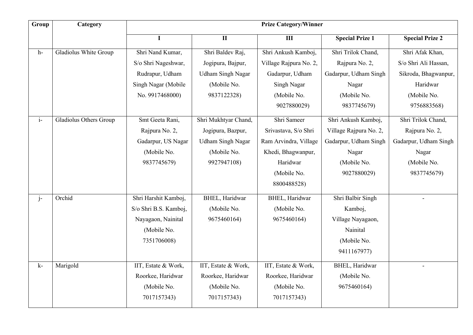| Group | Category                      |                       |                          | <b>Prize Category/Winner</b> |                        |                        |
|-------|-------------------------------|-----------------------|--------------------------|------------------------------|------------------------|------------------------|
|       |                               | $\mathbf I$           | $\mathbf H$              | III                          | <b>Special Prize 1</b> | <b>Special Prize 2</b> |
| h-    | Gladiolus White Group         | Shri Nand Kumar,      | Shri Baldev Raj,         | Shri Ankush Kamboj,          | Shri Trilok Chand,     | Shri Afak Khan,        |
|       |                               | S/o Shri Nageshwar,   | Jogipura, Bajpur,        | Village Rajpura No. 2,       | Rajpura No. 2,         | S/o Shri Ali Hassan,   |
|       |                               | Rudrapur, Udham       | <b>Udham Singh Nagar</b> | Gadarpur, Udham              | Gadarpur, Udham Singh  | Sikroda, Bhagwanpur,   |
|       |                               | Singh Nagar (Mobile   | (Mobile No.              | Singh Nagar                  | Nagar                  | Haridwar               |
|       |                               | No. 9917468000)       | 9837122328)              | (Mobile No.                  | (Mobile No.            | (Mobile No.            |
|       |                               |                       |                          | 9027880029)                  | 9837745679)            | 9756883568)            |
| $i-$  | <b>Gladiolus Others Group</b> | Smt Geeta Rani,       | Shri Mukhtyar Chand,     | Shri Sameer                  | Shri Ankush Kamboj,    | Shri Trilok Chand,     |
|       |                               | Rajpura No. 2,        | Jogipura, Bazpur,        | Srivastava, S/o Shri         | Village Rajpura No. 2, | Rajpura No. 2,         |
|       |                               | Gadarpur, US Nagar    | Udham Singh Nagar        | Ram Arvindra, Village        | Gadarpur, Udham Singh  | Gadarpur, Udham Singh  |
|       |                               | (Mobile No.           | (Mobile No.              | Khedi, Bhagwanpur,           | Nagar                  | Nagar                  |
|       |                               | 9837745679)           | 9927947108)              | Haridwar                     | (Mobile No.            | (Mobile No.            |
|       |                               |                       |                          | (Mobile No.                  | 9027880029)            | 9837745679)            |
|       |                               |                       |                          | 8800488528)                  |                        |                        |
| $j-$  | Orchid                        | Shri Harshit Kamboj,  | BHEL, Haridwar           | <b>BHEL</b> , Haridwar       | Shri Balbir Singh      | $\blacksquare$         |
|       |                               | S/o Shri B.S. Kamboj, | (Mobile No.              | (Mobile No.                  | Kamboj,                |                        |
|       |                               | Nayagaon, Nainital    | 9675460164)              | 9675460164)                  | Village Nayagaon,      |                        |
|       |                               | (Mobile No.           |                          |                              | Nainital               |                        |
|       |                               | 7351706008)           |                          |                              | (Mobile No.            |                        |
|       |                               |                       |                          |                              | 9411167977)            |                        |
| k-    | Marigold                      | IIT, Estate & Work,   | IIT, Estate & Work,      | IIT, Estate & Work,          | <b>BHEL</b> , Haridwar |                        |
|       |                               | Roorkee, Haridwar     | Roorkee, Haridwar        | Roorkee, Haridwar            | (Mobile No.            |                        |
|       |                               | (Mobile No.           | (Mobile No.              | (Mobile No.                  | 9675460164)            |                        |
|       |                               | 7017157343)           | 7017157343)              | 7017157343)                  |                        |                        |
|       |                               |                       |                          |                              |                        |                        |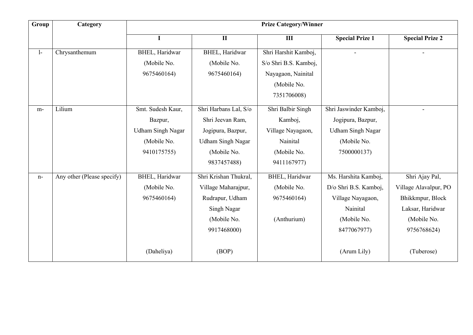| Group | Category                   | <b>Prize Category/Winner</b> |                          |                       |                          |                          |
|-------|----------------------------|------------------------------|--------------------------|-----------------------|--------------------------|--------------------------|
|       |                            | I                            | $\rm II$                 | $\mathbf{III}$        | <b>Special Prize 1</b>   | <b>Special Prize 2</b>   |
| $1-$  | Chrysanthemum              | BHEL, Haridwar               | BHEL, Haridwar           | Shri Harshit Kamboj,  | $\blacksquare$           | $\overline{\phantom{0}}$ |
|       |                            | (Mobile No.                  | (Mobile No.              | S/o Shri B.S. Kamboj, |                          |                          |
|       |                            | 9675460164)                  | 9675460164)              | Nayagaon, Nainital    |                          |                          |
|       |                            |                              |                          | (Mobile No.           |                          |                          |
|       |                            |                              |                          | 7351706008)           |                          |                          |
| $m-$  | Lilium                     | Smt. Sudesh Kaur,            | Shri Harbans Lal, S/o    | Shri Balbir Singh     | Shri Jaswinder Kamboj,   |                          |
|       |                            | Bazpur,                      | Shri Jeevan Ram,         | Kamboj,               | Jogipura, Bazpur,        |                          |
|       |                            | <b>Udham Singh Nagar</b>     | Jogipura, Bazpur,        | Village Nayagaon,     | <b>Udham Singh Nagar</b> |                          |
|       |                            | (Mobile No.                  | <b>Udham Singh Nagar</b> | Nainital              | (Mobile No.              |                          |
|       |                            | 9410175755)                  | (Mobile No.              | (Mobile No.           | 7500000137)              |                          |
|       |                            |                              | 9837457488)              | 9411167977)           |                          |                          |
| $n-$  | Any other (Please specify) | BHEL, Haridwar               | Shri Krishan Thukral,    | BHEL, Haridwar        | Ms. Harshita Kamboj,     | Shri Ajay Pal,           |
|       |                            | (Mobile No.                  | Village Maharajpur,      | (Mobile No.           | D/o Shri B.S. Kamboj,    | Village Alavalpur, PO    |
|       |                            | 9675460164)                  | Rudrapur, Udham          | 9675460164)           | Village Nayagaon,        | Bhikkmpur, Block         |
|       |                            |                              | Singh Nagar              |                       | Nainital                 | Laksar, Haridwar         |
|       |                            |                              | (Mobile No.              | (Anthurium)           | (Mobile No.              | (Mobile No.              |
|       |                            |                              | 9917468000)              |                       | 8477067977)              | 9756768624)              |
|       |                            | (Daheliya)                   | (BOP)                    |                       | (Arum Lily)              | (Tuberose)               |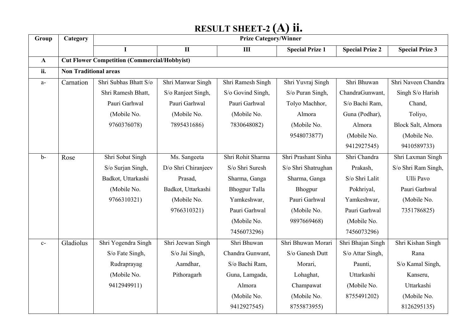# **RESULT SHEET-2 (A) ii.**

| Group        | Category                     | <b>Prize Category/Winner</b>                        |                     |                      |                        |                        |                        |
|--------------|------------------------------|-----------------------------------------------------|---------------------|----------------------|------------------------|------------------------|------------------------|
|              |                              | I                                                   | $\mathbf{I}$        | $\mathbf{III}$       | <b>Special Prize 1</b> | <b>Special Prize 2</b> | <b>Special Prize 3</b> |
| $\mathbf{A}$ |                              | <b>Cut Flower Competition (Commercial/Hobbyist)</b> |                     |                      |                        |                        |                        |
| ii.          | <b>Non Traditional areas</b> |                                                     |                     |                      |                        |                        |                        |
| $a-$         | Carnation                    | Shri Subhas Bhatt S/o                               | Shri Manwar Singh   | Shri Ramesh Singh    | Shri Yuvraj Singh      | Shri Bhuwan            | Shri Naveen Chandra    |
|              |                              | Shri Ramesh Bhatt,                                  | S/o Ranjeet Singh,  | S/o Govind Singh,    | S/o Puran Singh,       | ChandraGunwant,        | Singh S/o Harish       |
|              |                              | Pauri Garhwal                                       | Pauri Garhwal       | Pauri Garhwal        | Tolyo Machhor,         | S/o Bachi Ram,         | Chand,                 |
|              |                              | (Mobile No.                                         | (Mobile No.         | (Mobile No.          | Almora                 | Guna (Podhar),         | Toliyo,                |
|              |                              | 9760376078)                                         | 7895431686)         | 7830648082)          | (Mobile No.            | Almora                 | Block Salt, Almora     |
|              |                              |                                                     |                     |                      | 9548073877)            | (Mobile No.            | (Mobile No.            |
|              |                              |                                                     |                     |                      |                        | 9412927545)            | 9410589733)            |
| $b-$         | Rose                         | Shri Sobat Singh                                    | Ms. Sangeeta        | Shri Rohit Sharma    | Shri Prashant Sinha    | Shri Chandra           | Shri Laxman Singh      |
|              |                              | S/o Surjan Singh,                                   | D/o Shri Chiranjeev | S/o Shri Suresh      | S/o Shri Shatrughan    | Prakash,               | S/o Shri Ram Singh,    |
|              |                              | Badkot, Uttarkashi                                  | Prasad,             | Sharma, Ganga        | Sharma, Ganga          | S/o Shri Lalit         | Ulli Pavo              |
|              |                              | (Mobile No.                                         | Badkot, Uttarkashi  | <b>Bhogpur Talla</b> | Bhogpur                | Pokhriyal,             | Pauri Garhwal          |
|              |                              | 9766310321)                                         | (Mobile No.         | Yamkeshwar,          | Pauri Garhwal          | Yamkeshwar,            | (Mobile No.            |
|              |                              |                                                     | 9766310321)         | Pauri Garhwal        | (Mobile No.            | Pauri Garhwal          | 7351786825)            |
|              |                              |                                                     |                     | (Mobile No.          | 9897669468)            | (Mobile No.            |                        |
|              |                              |                                                     |                     | 7456073296)          |                        | 7456073296)            |                        |
| $C-$         | Gladiolus                    | Shri Yogendra Singh                                 | Shri Jeewan Singh   | Shri Bhuwan          | Shri Bhuwan Morari     | Shri Bhajan Singh      | Shri Kishan Singh      |
|              |                              | S/o Fate Singh,                                     | S/o Jai Singh,      | Chandra Gunwant,     | S/o Ganesh Dutt        | S/o Attar Singh,       | Rana                   |
|              |                              | Rudraprayag                                         | Aamdhar,            | S/o Bachi Ram,       | Morari,                | Paunti,                | S/o Kamal Singh,       |
|              |                              | (Mobile No.                                         | Pithoragarh         | Guna, Lamgada,       | Lohaghat,              | Uttarkashi             | Kanseru,               |
|              |                              | 9412949911)                                         |                     | Almora               | Champawat              | (Mobile No.            | Uttarkashi             |
|              |                              |                                                     |                     | (Mobile No.          | (Mobile No.            | 8755491202)            | (Mobile No.            |
|              |                              |                                                     |                     | 9412927545)          | 8755873955)            |                        | 8126295135)            |
|              |                              |                                                     |                     |                      |                        |                        |                        |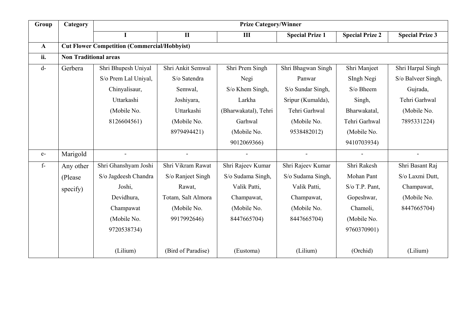| Group        | Category<br><b>Prize Category/Winner</b> |                                                     |                      |                      |                        |                        |                        |
|--------------|------------------------------------------|-----------------------------------------------------|----------------------|----------------------|------------------------|------------------------|------------------------|
|              |                                          |                                                     | $\mathbf{I}$         | $\mathbf{III}$       | <b>Special Prize 1</b> | <b>Special Prize 2</b> | <b>Special Prize 3</b> |
| $\mathbf{A}$ |                                          | <b>Cut Flower Competition (Commercial/Hobbyist)</b> |                      |                      |                        |                        |                        |
| ii.          | <b>Non Traditional areas</b>             |                                                     |                      |                      |                        |                        |                        |
| $d-$         | Gerbera                                  | Shri Bhupesh Uniyal                                 | Shri Ankit Semwal    | Shri Prem Singh      | Shri Bhagwan Singh     | Shri Manjeet           | Shri Harpal Singh      |
|              |                                          | S/o Prem Lal Uniyal,                                | S/o Satendra         | Negi                 | Panwar                 | SIngh Negi             | S/o Balveer Singh,     |
|              |                                          | Chinyalisaur,                                       | Semwal,              | S/o Khem Singh,      | S/o Sundar Singh,      | S/o Bheem              | Gujrada,               |
|              |                                          | Uttarkashi                                          | Joshiyara,           | Larkha               | Sripur (Kumalda),      | Singh,                 | Tehri Garhwal          |
|              |                                          | (Mobile No.                                         | Uttarkashi           | (Bharwakatal), Tehri | Tehri Garhwal          | Bharwakatal,           | (Mobile No.            |
|              |                                          | 8126604561)                                         | (Mobile No.          | Garhwal              | (Mobile No.            | Tehri Garhwal          | 7895331224)            |
|              |                                          |                                                     | 8979494421)          | (Mobile No.          | 9538482012)            | (Mobile No.            |                        |
|              |                                          |                                                     |                      | 9012069366)          |                        | 9410703934)            |                        |
| $e-$         | Marigold                                 | $\tilde{\phantom{a}}$                               | $\ddot{\phantom{1}}$ |                      | $\blacksquare$         | $\sim$                 |                        |
| $f -$        | Any other                                | Shri Ghanshyam Joshi                                | Shri Vikram Rawat    | Shri Rajeev Kumar    | Shri Rajeev Kumar      | Shri Rakesh            | Shri Basant Raj        |
|              | (Please)                                 | S/o Jagdeesh Chandra                                | S/o Ranjeet Singh    | S/o Sudama Singh,    | S/o Sudama Singh,      | Mohan Pant             | S/o Laxmi Dutt,        |
|              | specify)                                 | Joshi,                                              | Rawat,               | Valik Patti,         | Valik Patti,           | S/o T.P. Pant,         | Champawat,             |
|              |                                          | Devidhura,                                          | Totam, Salt Almora   | Champawat,           | Champawat,             | Gopeshwar,             | (Mobile No.            |
|              |                                          | Champawat                                           | (Mobile No.          | (Mobile No.          | (Mobile No.            | Chamoli,               | 8447665704)            |
|              |                                          | (Mobile No.                                         | 9917992646)          | 8447665704)          | 8447665704)            | (Mobile No.            |                        |
|              |                                          | 9720538734)                                         |                      |                      |                        | 9760370901)            |                        |
|              |                                          | (Lilium)                                            | (Bird of Paradise)   | (Eustoma)            | (Lilium)               | (Orchid)               | (Lilium)               |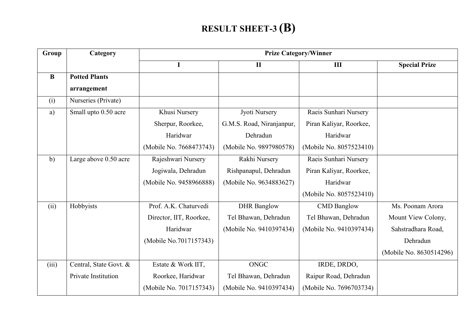#### **RESULT SHEET-3 (B)**

| Group    | Category               |                         |                           | <b>Prize Category/Winner</b> |                         |
|----------|------------------------|-------------------------|---------------------------|------------------------------|-------------------------|
|          |                        |                         | $\mathbf{I}$              | III                          | <b>Special Prize</b>    |
| $\bf{B}$ | <b>Potted Plants</b>   |                         |                           |                              |                         |
|          | arrangement            |                         |                           |                              |                         |
| (i)      | Nurseries (Private)    |                         |                           |                              |                         |
| a)       | Small upto 0.50 acre   | Khusi Nursery           | Jyoti Nursery             | Raeis Sunhari Nursery        |                         |
|          |                        | Sherpur, Roorkee,       | G.M.S. Road, Niranjanpur, | Piran Kaliyar, Roorkee,      |                         |
|          |                        | Haridwar                | Dehradun                  | Haridwar                     |                         |
|          |                        | (Mobile No. 7668473743) | (Mobile No. 9897980578)   | (Mobile No. 8057523410)      |                         |
| b)       | Large above 0.50 acre  | Rajeshwari Nursery      | Rakhi Nursery             | Raeis Sunhari Nursery        |                         |
|          |                        | Jogiwala, Dehradun      | Rishpanapul, Dehradun     | Piran Kaliyar, Roorkee,      |                         |
|          |                        | (Mobile No. 9458966888) | (Mobile No. 9634883627)   | Haridwar                     |                         |
|          |                        |                         |                           | (Mobile No. 8057523410)      |                         |
| (ii)     | Hobbyists              | Prof. A.K. Chaturvedi   | <b>DHR</b> Banglow        | <b>CMD</b> Banglow           | Ms. Poonam Arora        |
|          |                        | Director, IIT, Roorkee, | Tel Bhawan, Dehradun      | Tel Bhawan, Dehradun         | Mount View Colony,      |
|          |                        | Haridwar                | (Mobile No. 9410397434)   | (Mobile No. 9410397434)      | Sahstradhara Road,      |
|          |                        | (Mobile No.7017157343)  |                           |                              | Dehradun                |
|          |                        |                         |                           |                              | (Mobile No. 8630514296) |
| (iii)    | Central, State Govt. & | Estate & Work IIT,      | <b>ONGC</b>               | IRDE, DRDO,                  |                         |
|          | Private Institution    | Roorkee, Haridwar       | Tel Bhawan, Dehradun      | Raipur Road, Dehradun        |                         |
|          |                        | (Mobile No. 7017157343) | (Mobile No. 9410397434)   | (Mobile No. 7696703734)      |                         |
|          |                        |                         |                           |                              |                         |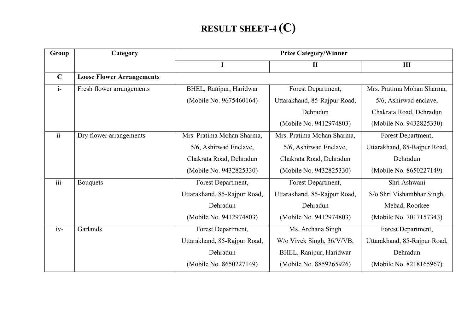# **RESULT SHEET-4 (C)**

| Group                   | Category                         |                              | <b>Prize Category/Winner</b> |                              |
|-------------------------|----------------------------------|------------------------------|------------------------------|------------------------------|
|                         |                                  |                              | $\mathbf{I}$                 | III                          |
| $\mathbf C$             | <b>Loose Flower Arrangements</b> |                              |                              |                              |
| $i-$                    | Fresh flower arrangements        | BHEL, Ranipur, Haridwar      | Forest Department,           | Mrs. Pratima Mohan Sharma,   |
|                         |                                  | (Mobile No. 9675460164)      | Uttarakhand, 85-Rajpur Road, | 5/6, Ashirwad enclave,       |
|                         |                                  |                              | Dehradun                     | Chakrata Road, Dehradun      |
|                         |                                  |                              | (Mobile No. 9412974803)      | (Mobile No. 9432825330)      |
| $ii-$                   | Dry flower arrangements          | Mrs. Pratima Mohan Sharma,   | Mrs. Pratima Mohan Sharma,   | Forest Department,           |
|                         |                                  | 5/6, Ashirwad Enclave,       | 5/6, Ashirwad Enclave,       | Uttarakhand, 85-Rajpur Road, |
|                         |                                  | Chakrata Road, Dehradun      | Chakrata Road, Dehradun      | Dehradun                     |
|                         |                                  | (Mobile No. 9432825330)      | (Mobile No. 9432825330)      | (Mobile No. 8650227149)      |
| $\overline{\text{iii}}$ | <b>Bouquets</b>                  | Forest Department,           | Forest Department,           | Shri Ashwani                 |
|                         |                                  | Uttarakhand, 85-Rajpur Road, | Uttarakhand, 85-Rajpur Road, | S/o Shri Vishambhar Singh,   |
|                         |                                  | Dehradun                     | Dehradun                     | Mebad, Roorkee               |
|                         |                                  | (Mobile No. 9412974803)      | (Mobile No. 9412974803)      | (Mobile No. 7017157343)      |
| $iv-$                   | Garlands                         | Forest Department,           | Ms. Archana Singh            | Forest Department,           |
|                         |                                  | Uttarakhand, 85-Rajpur Road, | W/o Vivek Singh, 36/V/VB,    | Uttarakhand, 85-Rajpur Road, |
|                         |                                  | Dehradun                     | BHEL, Ranipur, Haridwar      | Dehradun                     |
|                         |                                  | (Mobile No. 8650227149)      | (Mobile No. 8859265926)      | (Mobile No. 8218165967)      |
|                         |                                  |                              |                              |                              |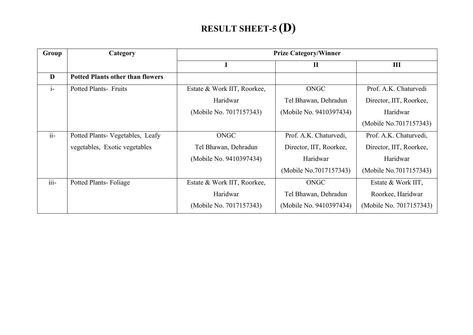#### **RESULT SHEET-5 (D)**

| Group   | Category                                |                             | <b>Prize Category/Winner</b> |                         |
|---------|-----------------------------------------|-----------------------------|------------------------------|-------------------------|
|         |                                         |                             | $\mathbf{I}$                 | III                     |
| D       | <b>Potted Plants other than flowers</b> |                             |                              |                         |
| $i-$    | <b>Potted Plants- Fruits</b>            | Estate & Work IIT, Roorkee, | ONGC                         | Prof. A.K. Chaturvedi   |
|         |                                         | Haridwar                    | Tel Bhawan, Dehradun         | Director, IIT, Roorkee, |
|         |                                         | (Mobile No. 7017157343)     | (Mobile No. 9410397434)      | Haridwar                |
|         |                                         |                             |                              | (Mobile No.7017157343)  |
| $ii-$   | Potted Plants- Vegetables, Leafy        | ONGC                        | Prof. A.K. Chaturvedi,       | Prof. A.K. Chaturvedi,  |
|         | vegetables, Exotic vegetables           | Tel Bhawan, Dehradun        | Director, IIT, Roorkee,      | Director, IIT, Roorkee, |
|         |                                         | (Mobile No. 9410397434)     | Haridwar                     | Haridwar                |
|         |                                         |                             | (Mobile No.7017157343)       | (Mobile No.7017157343)  |
| $iii -$ | <b>Potted Plants-Foliage</b>            | Estate & Work IIT, Roorkee, | ONGC                         | Estate & Work IIT,      |
|         |                                         | Haridwar                    | Tel Bhawan, Dehradun         | Roorkee, Haridwar       |
|         |                                         | (Mobile No. 7017157343)     | (Mobile No. 9410397434)      | (Mobile No. 7017157343) |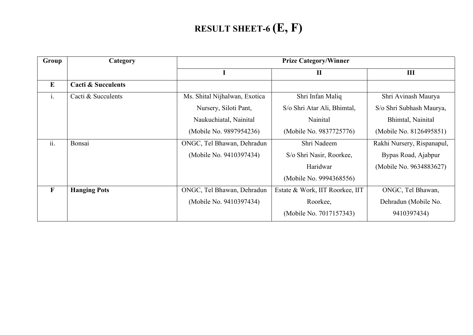# **RESULT SHEET-6 (E, F)**

| Group          | Category                      |                               | <b>Prize Category/Winner</b>    |                            |
|----------------|-------------------------------|-------------------------------|---------------------------------|----------------------------|
|                |                               | L                             | $\mathbf{I}$                    | $\mathbf{III}$             |
| $\bf{E}$       | <b>Cacti &amp; Succulents</b> |                               |                                 |                            |
| $\mathbf{i}$ . | Cacti & Succulents            | Ms. Shital Nijhalwan, Exotica | Shri Infan Maliq                | Shri Avinash Maurya        |
|                |                               | Nursery, Siloti Pant,         | S/o Shri Atar Ali, Bhimtal,     | S/o Shri Subhash Maurya,   |
|                |                               | Naukuchiatal, Nainital        | Nainital                        | Bhimtal, Nainital          |
|                |                               | (Mobile No. 9897954236)       | (Mobile No. 9837725776)         | (Mobile No. 8126495851)    |
| ii.            | Bonsai                        | ONGC, Tel Bhawan, Dehradun    | Shri Nadeem                     | Rakhi Nursery, Rispanapul, |
|                |                               | (Mobile No. 9410397434)       | S/o Shri Nasir, Roorkee,        | Bypas Road, Ajabpur        |
|                |                               |                               | Haridwar                        | (Mobile No. 9634883627)    |
|                |                               |                               | (Mobile No. 9994368556)         |                            |
| $\mathbf{F}$   | <b>Hanging Pots</b>           | ONGC, Tel Bhawan, Dehradun    | Estate & Work, IIT Roorkee, IIT | ONGC, Tel Bhawan,          |
|                |                               | (Mobile No. 9410397434)       | Roorkee,                        | Dehradun (Mobile No.       |
|                |                               |                               | (Mobile No. 7017157343)         | 9410397434)                |
|                |                               |                               |                                 |                            |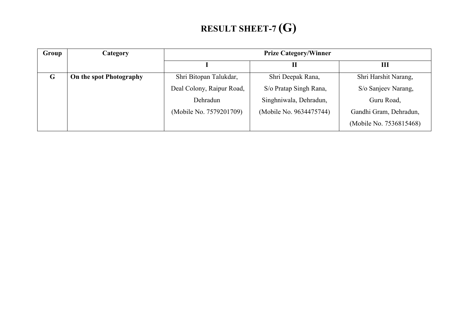# **RESULT SHEET-7 (G)**

| Group | Category                |                           | <b>Prize Category/Winner</b> |                         |
|-------|-------------------------|---------------------------|------------------------------|-------------------------|
|       |                         |                           | П                            | Ш                       |
| G     | On the spot Photography | Shri Bitopan Talukdar,    | Shri Deepak Rana,            | Shri Harshit Narang,    |
|       |                         | Deal Colony, Raipur Road, | S/o Pratap Singh Rana,       | S/o Sanjeev Narang,     |
|       |                         | Dehradun                  | Singhniwala, Dehradun,       | Guru Road,              |
|       |                         | (Mobile No. 7579201709)   | (Mobile No. 9634475744)      | Gandhi Gram, Dehradun,  |
|       |                         |                           |                              | (Mobile No. 7536815468) |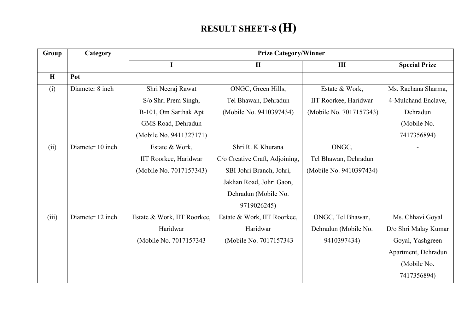#### **RESULT SHEET-8 (H)**

| Group<br>Category |                  |                             | <b>Prize Category/Winner</b>   |                         |                      |
|-------------------|------------------|-----------------------------|--------------------------------|-------------------------|----------------------|
|                   |                  | I                           | $\mathbf{I}$                   | III                     | <b>Special Prize</b> |
| H                 | Pot              |                             |                                |                         |                      |
| (i)               | Diameter 8 inch  | Shri Neeraj Rawat           | ONGC, Green Hills,             | Estate & Work,          | Ms. Rachana Sharma,  |
|                   |                  | S/o Shri Prem Singh,        | Tel Bhawan, Dehradun           | IIT Roorkee, Haridwar   | 4-Mulchand Enclave,  |
|                   |                  | B-101, Om Sarthak Apt       | (Mobile No. 9410397434)        | (Mobile No. 7017157343) | Dehradun             |
|                   |                  | GMS Road, Dehradun          |                                |                         | (Mobile No.          |
|                   |                  | (Mobile No. 9411327171)     |                                |                         | 7417356894)          |
| (ii)              | Diameter 10 inch | Estate & Work,              | Shri R. K Khurana              | ONGC,                   |                      |
|                   |                  | IIT Roorkee, Haridwar       | C/o Creative Craft, Adjoining, | Tel Bhawan, Dehradun    |                      |
|                   |                  | (Mobile No. 7017157343)     | SBI Johri Branch, Johri,       | (Mobile No. 9410397434) |                      |
|                   |                  |                             | Jakhan Road, Johri Gaon,       |                         |                      |
|                   |                  |                             | Dehradun (Mobile No.           |                         |                      |
|                   |                  |                             | 9719026245)                    |                         |                      |
| (iii)             | Diameter 12 inch | Estate & Work, IIT Roorkee, | Estate & Work, IIT Roorkee,    | ONGC, Tel Bhawan,       | Ms. Chhavi Goyal     |
|                   |                  | Haridwar                    | Haridwar                       | Dehradun (Mobile No.    | D/o Shri Malay Kumar |
|                   |                  | (Mobile No. 7017157343)     | (Mobile No. 7017157343)        | 9410397434)             | Goyal, Yashgreen     |
|                   |                  |                             |                                |                         | Apartment, Dehradun  |
|                   |                  |                             |                                |                         | (Mobile No.          |
|                   |                  |                             |                                |                         | 7417356894)          |
|                   |                  |                             |                                |                         |                      |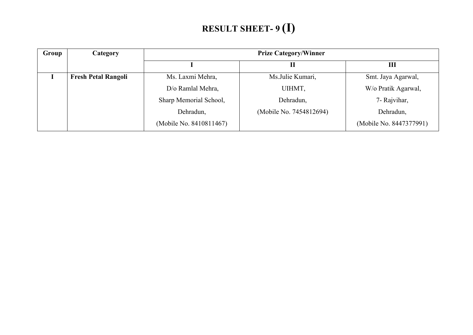# **RESULT SHEET- 9 (I)**

| Group | Category                   | <b>Prize Category/Winner</b> |                         |                         |
|-------|----------------------------|------------------------------|-------------------------|-------------------------|
|       |                            |                              |                         | Ш                       |
|       | <b>Fresh Petal Rangoli</b> | Ms. Laxmi Mehra,             | Ms.Julie Kumari,        | Smt. Jaya Agarwal,      |
|       |                            | D/o Ramlal Mehra,            | UIHMT,                  | W/o Pratik Agarwal,     |
|       |                            | Sharp Memorial School,       | Dehradun,               | 7- Rajvihar,            |
|       |                            | Dehradun,                    | (Mobile No. 7454812694) | Dehradun,               |
|       |                            | (Mobile No. 8410811467)      |                         | (Mobile No. 8447377991) |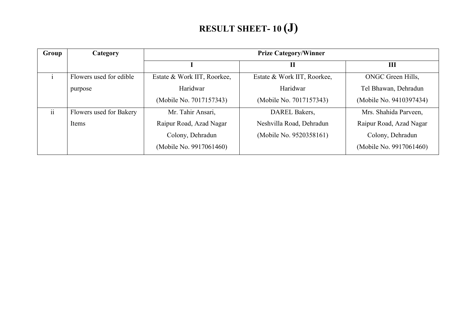#### **RESULT SHEET- 10 (J)**

| Group | Category                | <b>Prize Category/Winner</b> |                             |                         |
|-------|-------------------------|------------------------------|-----------------------------|-------------------------|
|       |                         |                              | П                           | Ш                       |
|       | Flowers used for edible | Estate & Work IIT, Roorkee,  | Estate & Work IIT, Roorkee, | ONGC Green Hills,       |
|       | purpose                 | Haridwar                     | Haridwar                    | Tel Bhawan, Dehradun    |
|       |                         | (Mobile No. 7017157343)      | (Mobile No. 7017157343)     | (Mobile No. 9410397434) |
| ii    | Flowers used for Bakery | Mr. Tahir Ansari,            | DAREL Bakers,               | Mrs. Shahida Parveen,   |
|       | Items                   | Raipur Road, Azad Nagar      | Neshvilla Road, Dehradun    | Raipur Road, Azad Nagar |
|       |                         | Colony, Dehradun             | (Mobile No. 9520358161)     | Colony, Dehradun        |
|       |                         | (Mobile No. 9917061460)      |                             | (Mobile No. 9917061460) |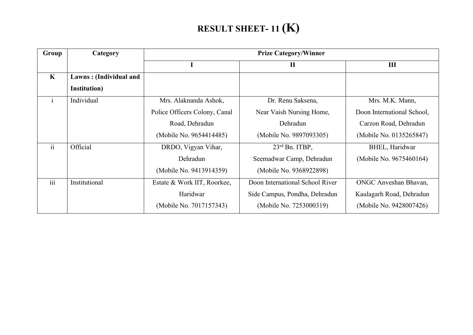#### **RESULT SHEET- 11 (K)**

| Group        | Category               | <b>Prize Category/Winner</b>  |                                 |                            |
|--------------|------------------------|-------------------------------|---------------------------------|----------------------------|
|              |                        |                               | $\mathbf{I}$                    | III                        |
| $\mathbf{K}$ | Lawns: (Individual and |                               |                                 |                            |
|              | Institution)           |                               |                                 |                            |
| $\mathbf{1}$ | Individual             | Mrs. Alaknanda Ashok,         | Dr. Renu Saksena,               | Mrs. M.K. Mann,            |
|              |                        | Police Officers Colony, Canal | Near Vaish Nursing Home,        | Doon International School, |
|              |                        | Road, Dehradun                | Dehradun                        | Carzon Road, Dehradun      |
|              |                        | (Mobile No. 9654414485)       | (Mobile No. 9897093305)         | (Mobile No. 0135265847)    |
| ii           | Official               | DRDO, Vigyan Vihar,           | 23rd Bn. ITBP,                  | BHEL, Haridwar             |
|              |                        | Dehradun                      | Seemadwar Camp, Dehradun        | (Mobile No. 9675460164)    |
|              |                        | (Mobile No. 9413914359)       | (Mobile No. 9368922898)         |                            |
| iii          | Institutional          | Estate & Work IIT, Roorkee,   | Doon International School River | ONGC Anveshan Bhavan,      |
|              |                        | Haridwar                      | Side Campus, Pondha, Dehradun   | Kaulagarh Road, Dehradun   |
|              |                        | (Mobile No. 7017157343)       | (Mobile No. 7253000319)         | (Mobile No. 9428007426)    |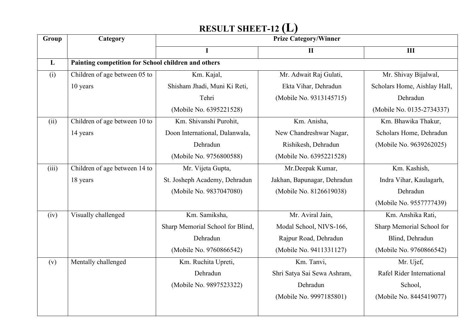#### **RESULT SHEET-12 (L)**

|       | Category                      | <b>Prize Category/Winner</b>                        |                             |                              |  |
|-------|-------------------------------|-----------------------------------------------------|-----------------------------|------------------------------|--|
|       |                               | $\mathbf I$                                         | $\mathbf{I}$                | III                          |  |
| L     |                               | Painting competition for School children and others |                             |                              |  |
| (i)   | Children of age between 05 to | Km. Kajal,                                          | Mr. Adwait Raj Gulati,      | Mr. Shivay Bijalwal,         |  |
|       | 10 years                      | Shisham Jhadi, Muni Ki Reti,                        | Ekta Vihar, Dehradun        | Scholars Home, Aishlay Hall, |  |
|       |                               | Tehri                                               | (Mobile No. 9313145715)     | Dehradun                     |  |
|       |                               | (Mobile No. 6395221528)                             |                             | (Mobile No. 0135-2734337)    |  |
| (ii)  | Children of age between 10 to | Km. Shivanshi Purohit,                              | Km. Anisha,                 | Km. Bhawika Thakur,          |  |
|       | 14 years                      | Doon International, Dalanwala,                      | New Chandreshwar Nagar,     | Scholars Home, Dehradun      |  |
|       |                               | Dehradun                                            | Rishikesh, Dehradun         | (Mobile No. 9639262025)      |  |
|       |                               | (Mobile No. 9756800588)                             | (Mobile No. 6395221528)     |                              |  |
| (iii) | Children of age between 14 to | Mr. Vijeta Gupta,                                   | Mr.Deepak Kumar,            | Km. Kashish,                 |  |
|       | 18 years                      | St. Josheph Academy, Dehradun                       | Jakhan, Bapunagar, Dehradun | Indra Vihar, Kaulagarh,      |  |
|       |                               | (Mobile No. 9837047080)                             | (Mobile No. 8126619038)     | Dehradun                     |  |
|       |                               |                                                     |                             | (Mobile No. 9557777439)      |  |
| (iv)  | Visually challenged           | Km. Samiksha,                                       | Mr. Aviral Jain,            | Km. Anshika Rati,            |  |
|       |                               | Sharp Memorial School for Blind,                    | Modal School, NIVS-166,     | Sharp Memorial School for    |  |
|       |                               | Dehradun                                            | Rajpur Road, Dehradun       | Blind, Dehradun              |  |
|       |                               | (Mobile No. 9760866542)                             | (Mobile No. 9411331127)     | (Mobile No. 9760866542)      |  |
| (v)   | Mentally challenged           | Km. Ruchita Upreti,                                 | Km. Tanvi,                  | Mr. Ujef,                    |  |
|       |                               | Dehradun                                            | Shri Satya Sai Sewa Ashram, | Rafel Rider International    |  |
|       |                               | (Mobile No. 9897523322)                             | Dehradun                    | School,                      |  |
|       |                               |                                                     | (Mobile No. 9997185801)     | (Mobile No. 8445419077)      |  |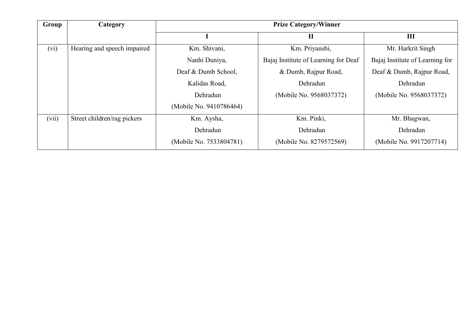| Group | Category                    | <b>Prize Category/Winner</b> |                                      |                                 |
|-------|-----------------------------|------------------------------|--------------------------------------|---------------------------------|
|       |                             |                              | $\mathbf{I}$                         | III                             |
| (vi)  | Hearing and speech impaired | Km. Shivani,                 | Km. Priyanshi,                       | Mr. Harkrit Singh               |
|       |                             | Nanhi Duniya,                | Bajaj Institute of Learning for Deaf | Bajaj Institute of Learning for |
|       |                             | Deaf & Dumb School,          | & Dumb, Rajpur Road,                 | Deaf & Dumb, Rajpur Road,       |
|       |                             | Kalidas Road,                | Dehradun                             | Dehradun                        |
|       |                             | Dehradun                     | (Mobile No. 9568037372)              | (Mobile No. 9568037372)         |
|       |                             | (Mobile No. 9410786464)      |                                      |                                 |
| (vii) | Street children/rag pickers | Km. Aysha,                   | Km. Pinki,                           | Mr. Bhagwan,                    |
|       |                             | Dehradun                     | Dehradun                             | Dehradun                        |
|       |                             | (Mobile No. 7533804781)      | (Mobile No. 8279572569)              | (Mobile No. 9917207714)         |